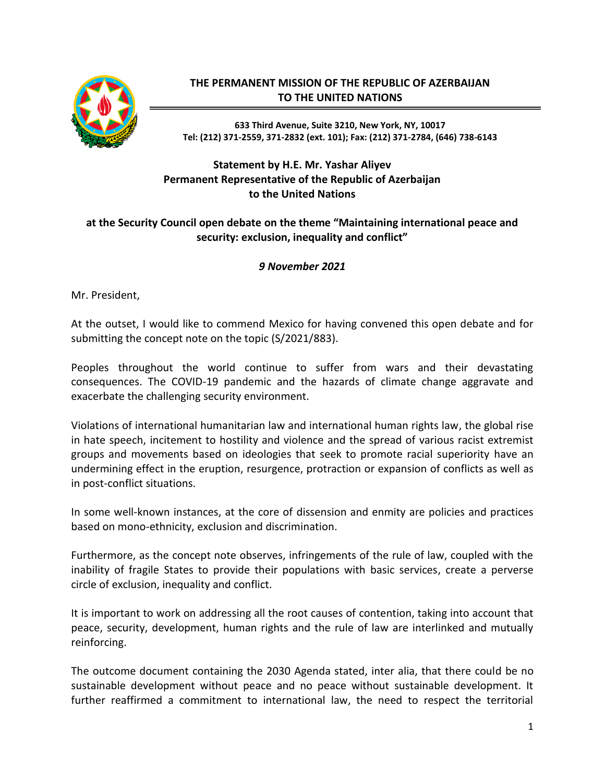

## **THE PERMANENT MISSION OF THE REPUBLIC OF AZERBAIJAN TO THE UNITED NATIONS**

**633 Third Avenue, Suite 3210, New York, NY, 10017 Tel: (212) 371-2559, 371-2832 (ext. 101); Fax: (212) 371-2784, (646) 738-6143**

## **Statement by H.E. Mr. Yashar Aliyev Permanent Representative of the Republic of Azerbaijan to the United Nations**

## **at the Security Council open debate on the theme "Maintaining international peace and security: exclusion, inequality and conflict"**

## *9 November 2021*

Mr. President,

At the outset, I would like to commend Mexico for having convened this open debate and for submitting the concept note on the topic (S/2021/883).

Peoples throughout the world continue to suffer from wars and their devastating consequences. The COVID-19 pandemic and the hazards of climate change aggravate and exacerbate the challenging security environment.

Violations of international humanitarian law and international human rights law, the global rise in hate speech, incitement to hostility and violence and the spread of various racist extremist groups and movements based on ideologies that seek to promote racial superiority have an undermining effect in the eruption, resurgence, protraction or expansion of conflicts as well as in post-conflict situations.

In some well-known instances, at the core of dissension and enmity are policies and practices based on mono-ethnicity, exclusion and discrimination.

Furthermore, as the concept note observes, infringements of the rule of law, coupled with the inability of fragile States to provide their populations with basic services, create a perverse circle of exclusion, inequality and conflict.

It is important to work on addressing all the root causes of contention, taking into account that peace, security, development, human rights and the rule of law are interlinked and mutually reinforcing.

The outcome document containing the 2030 Agenda stated, inter alia, that there could be no sustainable development without peace and no peace without sustainable development. It further reaffirmed a commitment to international law, the need to respect the territorial